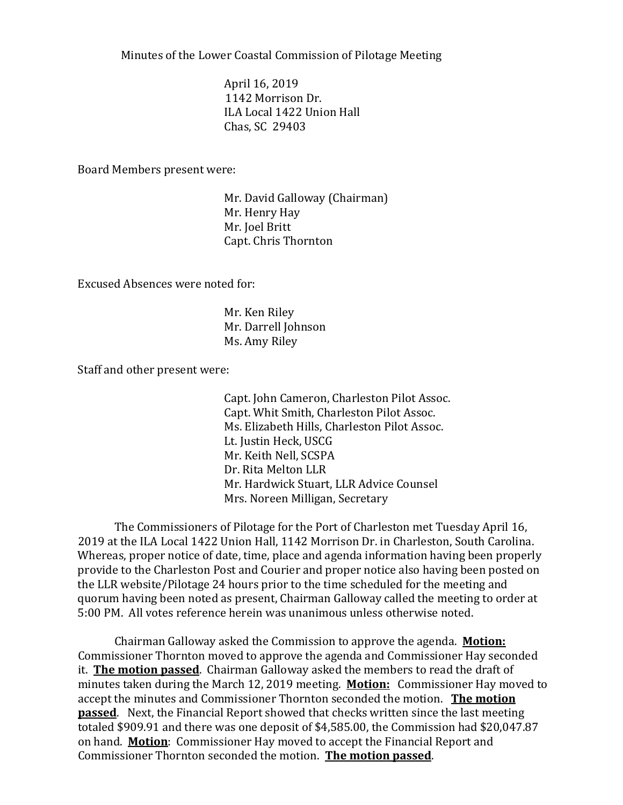Minutes of the Lower Coastal Commission of Pilotage Meeting

April 16, 2019 1142 Morrison Dr. ILA Local 1422 Union Hall Chas, SC 29403

Board Members present were:

Mr. David Galloway (Chairman) Mr. Henry Hay Mr. Joel Britt Capt. Chris Thornton

Excused Absences were noted for:

Mr. Ken Riley Mr. Darrell Johnson Ms. Amy Riley

Staff and other present were:

Capt. John Cameron, Charleston Pilot Assoc. Capt. Whit Smith, Charleston Pilot Assoc. Ms. Elizabeth Hills, Charleston Pilot Assoc. Lt. Justin Heck, USCG Mr. Keith Nell, SCSPA Dr. Rita Melton LLR Mr. Hardwick Stuart, LLR Advice Counsel Mrs. Noreen Milligan, Secretary

The Commissioners of Pilotage for the Port of Charleston met Tuesday April 16, 2019 at the ILA Local 1422 Union Hall, 1142 Morrison Dr. in Charleston, South Carolina. Whereas, proper notice of date, time, place and agenda information having been properly provide to the Charleston Post and Courier and proper notice also having been posted on the LLR website/Pilotage 24 hours prior to the time scheduled for the meeting and quorum having been noted as present, Chairman Galloway called the meeting to order at 5:00 PM. All votes reference herein was unanimous unless otherwise noted.

Chairman Galloway asked the Commission to approve the agenda. **Motion:** Commissioner Thornton moved to approve the agenda and Commissioner Hay seconded it. **The motion passed**. Chairman Galloway asked the members to read the draft of minutes taken during the March 12, 2019 meeting. **Motion:** Commissioner Hay moved to accept the minutes and Commissioner Thornton seconded the motion. **The motion passed**. Next, the Financial Report showed that checks written since the last meeting totaled \$909.91 and there was one deposit of \$4,585.00, the Commission had \$20,047.87 on hand. **Motion**: Commissioner Hay moved to accept the Financial Report and Commissioner Thornton seconded the motion. **The motion passed**.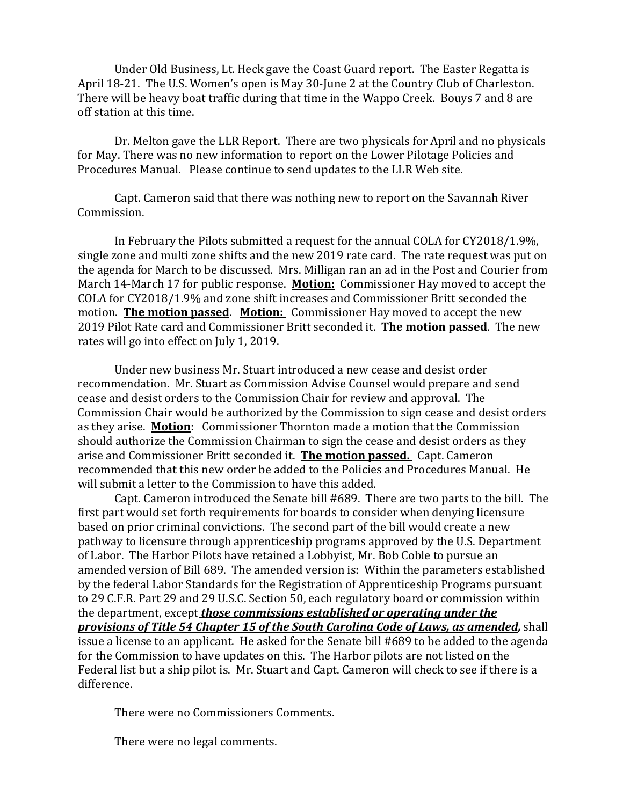Under Old Business, Lt. Heck gave the Coast Guard report. The Easter Regatta is April 18-21. The U.S. Women's open is May 30-June 2 at the Country Club of Charleston. There will be heavy boat traffic during that time in the Wappo Creek. Bouys 7 and 8 are off station at this time.

Dr. Melton gave the LLR Report. There are two physicals for April and no physicals for May. There was no new information to report on the Lower Pilotage Policies and Procedures Manual. Please continue to send updates to the LLR Web site.

Capt. Cameron said that there was nothing new to report on the Savannah River Commission.

In February the Pilots submitted a request for the annual COLA for CY2018/1.9%, single zone and multi zone shifts and the new 2019 rate card. The rate request was put on the agenda for March to be discussed. Mrs. Milligan ran an ad in the Post and Courier from March 14-March 17 for public response. **Motion:** Commissioner Hay moved to accept the COLA for CY2018/1.9% and zone shift increases and Commissioner Britt seconded the motion. **The motion passed**. **Motion:** Commissioner Hay moved to accept the new 2019 Pilot Rate card and Commissioner Britt seconded it. **The motion passed**. The new rates will go into effect on July 1, 2019.

Under new business Mr. Stuart introduced a new cease and desist order recommendation. Mr. Stuart as Commission Advise Counsel would prepare and send cease and desist orders to the Commission Chair for review and approval. The Commission Chair would be authorized by the Commission to sign cease and desist orders as they arise. **Motion**: Commissioner Thornton made a motion that the Commission should authorize the Commission Chairman to sign the cease and desist orders as they arise and Commissioner Britt seconded it. **The motion passed.** Capt. Cameron recommended that this new order be added to the Policies and Procedures Manual. He will submit a letter to the Commission to have this added.

Capt. Cameron introduced the Senate bill #689. There are two parts to the bill. The first part would set forth requirements for boards to consider when denying licensure based on prior criminal convictions. The second part of the bill would create a new pathway to licensure through apprenticeship programs approved by the U.S. Department of Labor. The Harbor Pilots have retained a Lobbyist, Mr. Bob Coble to pursue an amended version of Bill 689. The amended version is: Within the parameters established by the federal Labor Standards for the Registration of Apprenticeship Programs pursuant to 29 C.F.R. Part 29 and 29 U.S.C. Section 50, each regulatory board or commission within the department, except *those commissions established or operating under the provisions of Title 54 Chapter 15 of the South Carolina Code of Laws, as amended,* shall issue a license to an applicant. He asked for the Senate bill #689 to be added to the agenda for the Commission to have updates on this. The Harbor pilots are not listed on the Federal list but a ship pilot is. Mr. Stuart and Capt. Cameron will check to see if there is a difference.

There were no Commissioners Comments.

There were no legal comments.